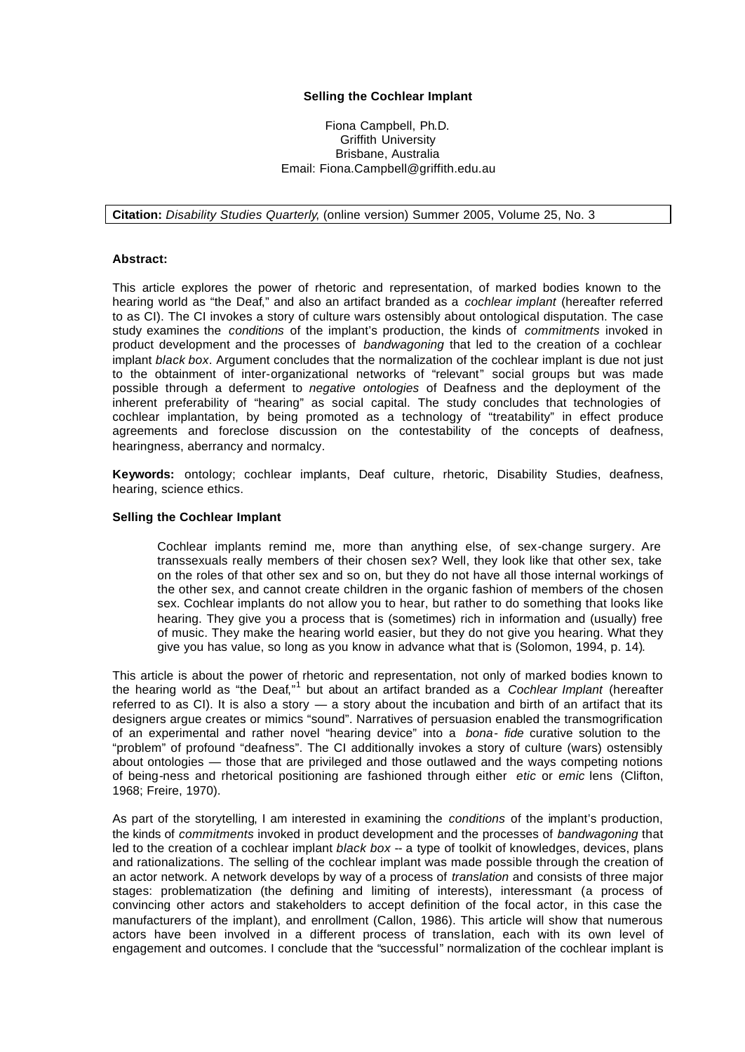# **Selling the Cochlear Implant**

Fiona Campbell, Ph.D. Griffith University Brisbane, Australia Email: Fiona.Campbell@griffith.edu.au

## **Citation:** *Disability Studies Quarterly*, (online version) Summer 2005, Volume 25, No. 3

#### **Abstract:**

This article explores the power of rhetoric and representation, of marked bodies known to the hearing world as "the Deaf," and also an artifact branded as a *cochlear implant* (hereafter referred to as CI). The CI invokes a story of culture wars ostensibly about ontological disputation. The case study examines the *conditions* of the implant's production, the kinds of *commitments* invoked in product development and the processes of *bandwagoning* that led to the creation of a cochlear implant *black box*. Argument concludes that the normalization of the cochlear implant is due not just to the obtainment of inter-organizational networks of "relevant" social groups but was made possible through a deferment to *negative ontologies* of Deafness and the deployment of the inherent preferability of "hearing" as social capital. The study concludes that technologies of cochlear implantation, by being promoted as a technology of "treatability" in effect produce agreements and foreclose discussion on the contestability of the concepts of deafness, hearingness, aberrancy and normalcy.

**Keywords:** ontology; cochlear implants, Deaf culture, rhetoric, Disability Studies, deafness, hearing, science ethics.

#### **Selling the Cochlear Implant**

Cochlear implants remind me, more than anything else, of sex-change surgery. Are transsexuals really members of their chosen sex? Well, they look like that other sex, take on the roles of that other sex and so on, but they do not have all those internal workings of the other sex, and cannot create children in the organic fashion of members of the chosen sex. Cochlear implants do not allow you to hear, but rather to do something that looks like hearing. They give you a process that is (sometimes) rich in information and (usually) free of music. They make the hearing world easier, but they do not give you hearing. What they give you has value, so long as you know in advance what that is (Solomon, 1994, p. 14).

This article is about the power of rhetoric and representation, not only of marked bodies known to the hearing world as "the Deaf,"<sup>1</sup> but about an artifact branded as a *Cochlear Implant* (hereafter referred to as CI). It is also a story — a story about the incubation and birth of an artifact that its designers argue creates or mimics "sound". Narratives of persuasion enabled the transmogrification of an experimental and rather novel "hearing device" into a *bona- fide* curative solution to the "problem" of profound "deafness". The CI additionally invokes a story of culture (wars) ostensibly about ontologies — those that are privileged and those outlawed and the ways competing notions of being-ness and rhetorical positioning are fashioned through either *etic* or *emic* lens (Clifton, 1968; Freire, 1970).

As part of the storytelling, I am interested in examining the *conditions* of the implant's production, the kinds of *commitments* invoked in product development and the processes of *bandwagoning* that led to the creation of a cochlear implant *black box* -- a type of toolkit of knowledges, devices, plans and rationalizations. The selling of the cochlear implant was made possible through the creation of an actor network. A network develops by way of a process of *translation* and consists of three major stages: problematization (the defining and limiting of interests), interessmant (a process of convincing other actors and stakeholders to accept definition of the focal actor, in this case the manufacturers of the implant), and enrollment (Callon, 1986). This article will show that numerous actors have been involved in a different process of translation, each with its own level of engagement and outcomes. I conclude that the "successful" normalization of the cochlear implant is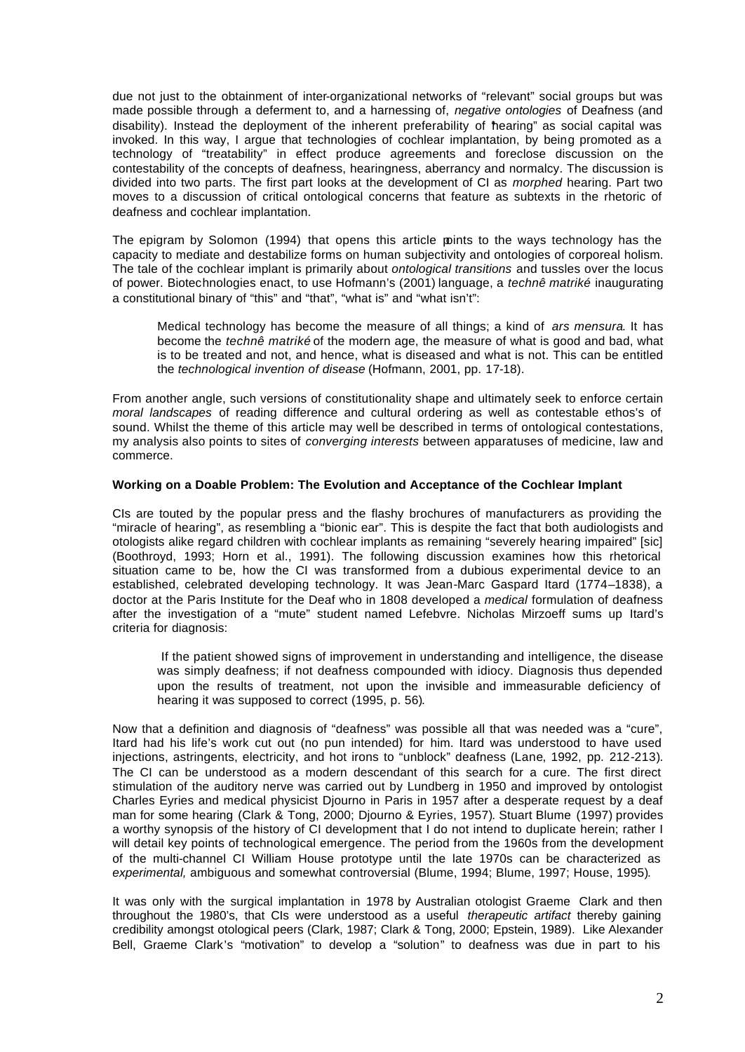due not just to the obtainment of inter-organizational networks of "relevant" social groups but was made possible through a deferment to, and a harnessing of, *negative ontologies* of Deafness (and disability). Instead the deployment of the inherent preferability of "hearing" as social capital was invoked. In this way, I argue that technologies of cochlear implantation, by being promoted as a technology of "treatability" in effect produce agreements and foreclose discussion on the contestability of the concepts of deafness, hearingness, aberrancy and normalcy. The discussion is divided into two parts. The first part looks at the development of CI as *morphed* hearing. Part two moves to a discussion of critical ontological concerns that feature as subtexts in the rhetoric of deafness and cochlear implantation.

The epigram by Solomon (1994) that opens this article points to the ways technology has the capacity to mediate and destabilize forms on human subjectivity and ontologies of corporeal holism. The tale of the cochlear implant is primarily about *ontological transitions* and tussles over the locus of power. Biotechnologies enact, to use Hofmann's (2001) language, a *technê matriké* inaugurating a constitutional binary of "this" and "that", "what is" and "what isn't":

Medical technology has become the measure of all things; a kind of *ars mensura*. It has become the *technê matriké* of the modern age, the measure of what is good and bad, what is to be treated and not, and hence, what is diseased and what is not. This can be entitled the *technological invention of disease* (Hofmann, 2001, pp. 17-18).

From another angle, such versions of constitutionality shape and ultimately seek to enforce certain *moral landscapes* of reading difference and cultural ordering as well as contestable ethos's of sound. Whilst the theme of this article may well be described in terms of ontological contestations, my analysis also points to sites of *converging interests* between apparatuses of medicine, law and commerce.

# **Working on a Doable Problem: The Evolution and Acceptance of the Cochlear Implant**

CIs are touted by the popular press and the flashy brochures of manufacturers as providing the "miracle of hearing", as resembling a "bionic ear". This is despite the fact that both audiologists and otologists alike regard children with cochlear implants as remaining "severely hearing impaired" [sic] (Boothroyd, 1993; Horn et al., 1991). The following discussion examines how this rhetorical situation came to be, how the CI was transformed from a dubious experimental device to an established, celebrated developing technology. It was Jean-Marc Gaspard Itard (1774–1838), a doctor at the Paris Institute for the Deaf who in 1808 developed a *medical* formulation of deafness after the investigation of a "mute" student named Lefebvre. Nicholas Mirzoeff sums up Itard's criteria for diagnosis:

 If the patient showed signs of improvement in understanding and intelligence, the disease was simply deafness; if not deafness compounded with idiocy. Diagnosis thus depended upon the results of treatment, not upon the invisible and immeasurable deficiency of hearing it was supposed to correct (1995, p. 56).

Now that a definition and diagnosis of "deafness" was possible all that was needed was a "cure", Itard had his life's work cut out (no pun intended) for him. Itard was understood to have used injections, astringents, electricity, and hot irons to "unblock" deafness (Lane, 1992, pp. 212-213). The CI can be understood as a modern descendant of this search for a cure. The first direct stimulation of the auditory nerve was carried out by Lundberg in 1950 and improved by ontologist Charles Eyries and medical physicist Djourno in Paris in 1957 after a desperate request by a deaf man for some hearing (Clark & Tong, 2000; Djourno & Eyries, 1957). Stuart Blume (1997) provides a worthy synopsis of the history of CI development that I do not intend to duplicate herein; rather I will detail key points of technological emergence. The period from the 1960s from the development of the multi-channel CI William House prototype until the late 1970s can be characterized as *experimental,* ambiguous and somewhat controversial (Blume, 1994; Blume, 1997; House, 1995).

It was only with the surgical implantation in 1978 by Australian otologist Graeme Clark and then throughout the 1980's, that CIs were understood as a useful *therapeutic artifact* thereby gaining credibility amongst otological peers (Clark, 1987; Clark & Tong, 2000; Epstein, 1989). Like Alexander Bell, Graeme Clark's "motivation" to develop a "solution" to deafness was due in part to his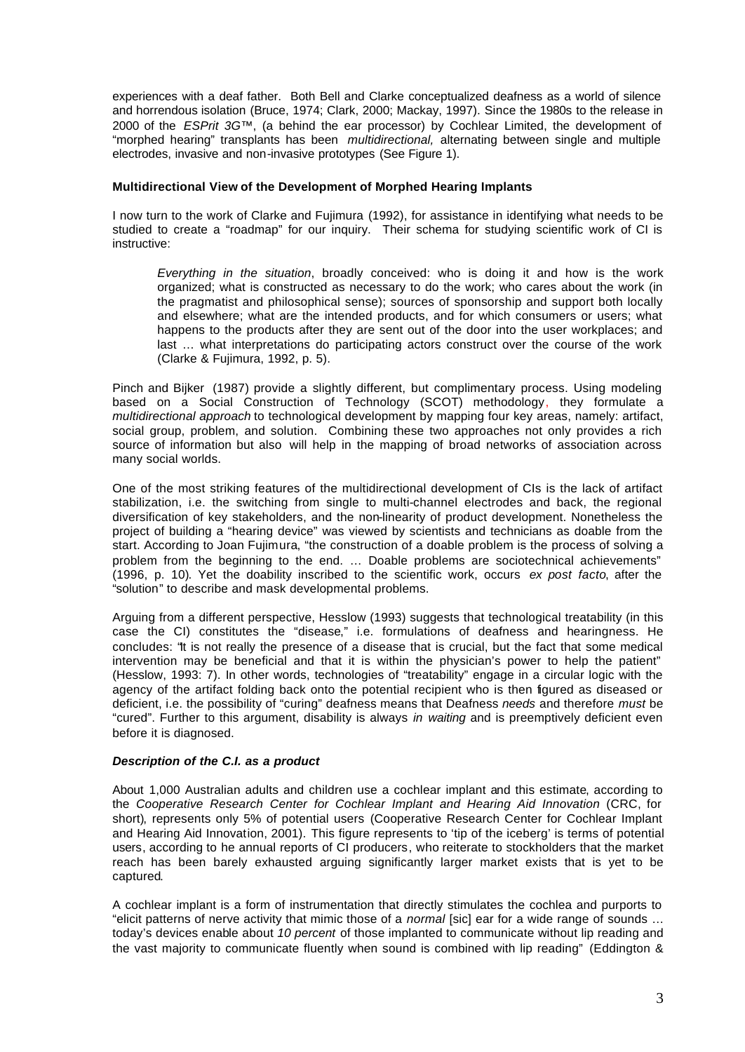experiences with a deaf father. Both Bell and Clarke conceptualized deafness as a world of silence and horrendous isolation (Bruce, 1974; Clark, 2000; Mackay, 1997). Since the 1980s to the release in 2000 of the *ESPrit 3G*™, (a behind the ear processor) by Cochlear Limited, the development of "morphed hearing" transplants has been *multidirectional,* alternating between single and multiple electrodes, invasive and non-invasive prototypes (See Figure 1).

## **Multidirectional View of the Development of Morphed Hearing Implants**

I now turn to the work of Clarke and Fujimura (1992), for assistance in identifying what needs to be studied to create a "roadmap" for our inquiry. Their schema for studying scientific work of CI is instructive:

*Everything in the situation*, broadly conceived: who is doing it and how is the work organized; what is constructed as necessary to do the work; who cares about the work (in the pragmatist and philosophical sense); sources of sponsorship and support both locally and elsewhere; what are the intended products, and for which consumers or users; what happens to the products after they are sent out of the door into the user workplaces; and last … what interpretations do participating actors construct over the course of the work (Clarke & Fujimura, 1992, p. 5).

Pinch and Bijker (1987) provide a slightly different, but complimentary process. Using modeling based on a Social Construction of Technology (SCOT) methodology, they formulate a *multidirectional approach* to technological development by mapping four key areas, namely: artifact, social group, problem, and solution. Combining these two approaches not only provides a rich source of information but also will help in the mapping of broad networks of association across many social worlds.

One of the most striking features of the multidirectional development of CIs is the lack of artifact stabilization, i.e. the switching from single to multi-channel electrodes and back, the regional diversification of key stakeholders, and the non-linearity of product development. Nonetheless the project of building a "hearing device" was viewed by scientists and technicians as doable from the start. According to Joan Fujimura, "the construction of a doable problem is the process of solving a problem from the beginning to the end. … Doable problems are sociotechnical achievements" (1996, p. 10). Yet the doability inscribed to the scientific work, occurs *ex post facto*, after the "solution" to describe and mask developmental problems.

Arguing from a different perspective, Hesslow (1993) suggests that technological treatability (in this case the CI) constitutes the "disease," i.e. formulations of deafness and hearingness. He concludes: "It is not really the presence of a disease that is crucial, but the fact that some medical intervention may be beneficial and that it is within the physician's power to help the patient" (Hesslow, 1993: 7). In other words, technologies of "treatability" engage in a circular logic with the agency of the artifact folding back onto the potential recipient who is then figured as diseased or deficient, i.e. the possibility of "curing" deafness means that Deafness *needs* and therefore *must* be "cured". Further to this argument, disability is always *in waiting* and is preemptively deficient even before it is diagnosed.

# *Description of the C.I. as a product*

About 1,000 Australian adults and children use a cochlear implant and this estimate, according to the *Cooperative Research Center for Cochlear Implant and Hearing Aid Innovation* (CRC, for short), represents only 5% of potential users (Cooperative Research Center for Cochlear Implant and Hearing Aid Innovation, 2001). This figure represents to 'tip of the iceberg' is terms of potential users, according to he annual reports of CI producers, who reiterate to stockholders that the market reach has been barely exhausted arguing significantly larger market exists that is yet to be captured.

A cochlear implant is a form of instrumentation that directly stimulates the cochlea and purports to "elicit patterns of nerve activity that mimic those of a *normal* [sic] ear for a wide range of sounds … today's devices enable about *10 percent* of those implanted to communicate without lip reading and the vast majority to communicate fluently when sound is combined with lip reading" (Eddington &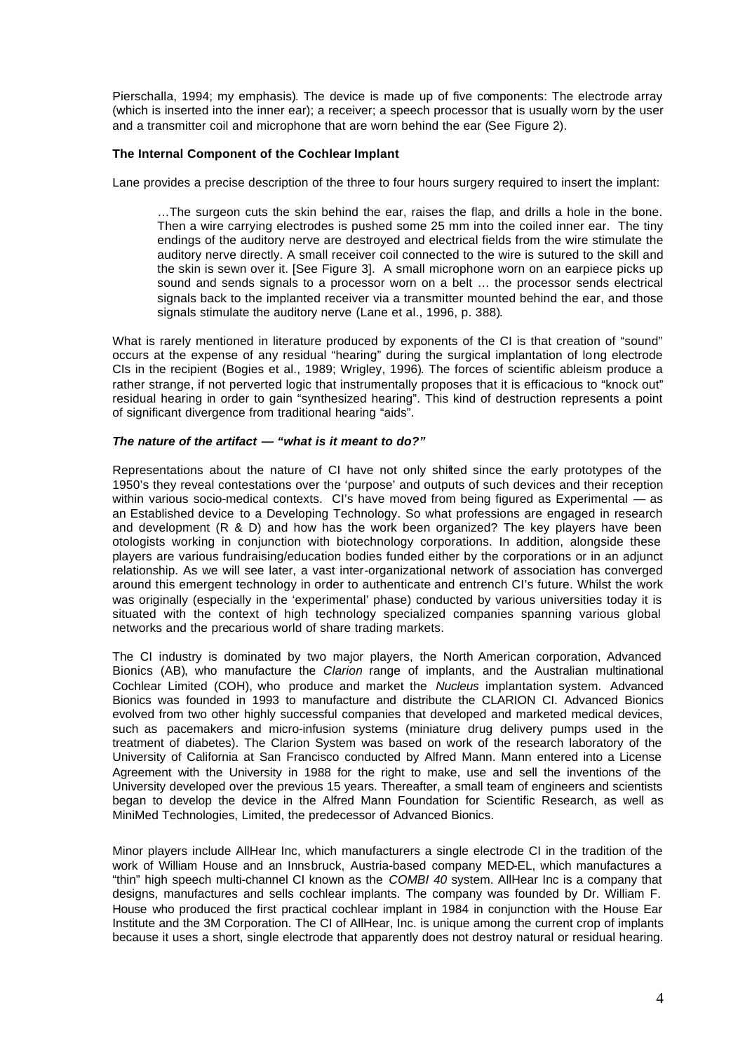Pierschalla, 1994; my emphasis). The device is made up of five components: The electrode array (which is inserted into the inner ear); a receiver; a speech processor that is usually worn by the user and a transmitter coil and microphone that are worn behind the ear (See Figure 2).

# **The Internal Component of the Cochlear Implant**

Lane provides a precise description of the three to four hours surgery required to insert the implant:

…The surgeon cuts the skin behind the ear, raises the flap, and drills a hole in the bone. Then a wire carrying electrodes is pushed some 25 mm into the coiled inner ear. The tiny endings of the auditory nerve are destroyed and electrical fields from the wire stimulate the auditory nerve directly. A small receiver coil connected to the wire is sutured to the skill and the skin is sewn over it. [See Figure 3]. A small microphone worn on an earpiece picks up sound and sends signals to a processor worn on a belt … the processor sends electrical signals back to the implanted receiver via a transmitter mounted behind the ear, and those signals stimulate the auditory nerve (Lane et al., 1996, p. 388).

What is rarely mentioned in literature produced by exponents of the CI is that creation of "sound" occurs at the expense of any residual "hearing" during the surgical implantation of long electrode CIs in the recipient (Bogies et al., 1989; Wrigley, 1996). The forces of scientific ableism produce a rather strange, if not perverted logic that instrumentally proposes that it is efficacious to "knock out" residual hearing in order to gain "synthesized hearing". This kind of destruction represents a point of significant divergence from traditional hearing "aids".

# *The nature of the artifact — "what is it meant to do?"*

Representations about the nature of CI have not only shifted since the early prototypes of the 1950's they reveal contestations over the 'purpose' and outputs of such devices and their reception within various socio-medical contexts. CI's have moved from being figured as Experimental - as an Established device to a Developing Technology. So what professions are engaged in research and development (R & D) and how has the work been organized? The key players have been otologists working in conjunction with biotechnology corporations. In addition, alongside these players are various fundraising/education bodies funded either by the corporations or in an adjunct relationship. As we will see later, a vast inter-organizational network of association has converged around this emergent technology in order to authenticate and entrench CI's future. Whilst the work was originally (especially in the 'experimental' phase) conducted by various universities today it is situated with the context of high technology specialized companies spanning various global networks and the precarious world of share trading markets.

The CI industry is dominated by two major players, the North American corporation, Advanced Bionics (AB), who manufacture the *Clarion* range of implants, and the Australian multinational Cochlear Limited (COH), who produce and market the *Nucleus* implantation system. Advanced Bionics was founded in 1993 to manufacture and distribute the CLARION CI. Advanced Bionics evolved from two other highly successful companies that developed and marketed medical devices, such as pacemakers and micro-infusion systems (miniature drug delivery pumps used in the treatment of diabetes). The Clarion System was based on work of the research laboratory of the University of California at San Francisco conducted by Alfred Mann. Mann entered into a License Agreement with the University in 1988 for the right to make, use and sell the inventions of the University developed over the previous 15 years. Thereafter, a small team of engineers and scientists began to develop the device in the Alfred Mann Foundation for Scientific Research, as well as MiniMed Technologies, Limited, the predecessor of Advanced Bionics.

Minor players include AllHear Inc, which manufacturers a single electrode CI in the tradition of the work of William House and an Innsbruck, Austria-based company MED-EL, which manufactures a "thin" high speech multi-channel CI known as the *COMBI 40* system. AllHear Inc is a company that designs, manufactures and sells cochlear implants. The company was founded by Dr. William F. House who produced the first practical cochlear implant in 1984 in conjunction with the House Ear Institute and the 3M Corporation. The CI of AllHear, Inc. is unique among the current crop of implants because it uses a short, single electrode that apparently does not destroy natural or residual hearing.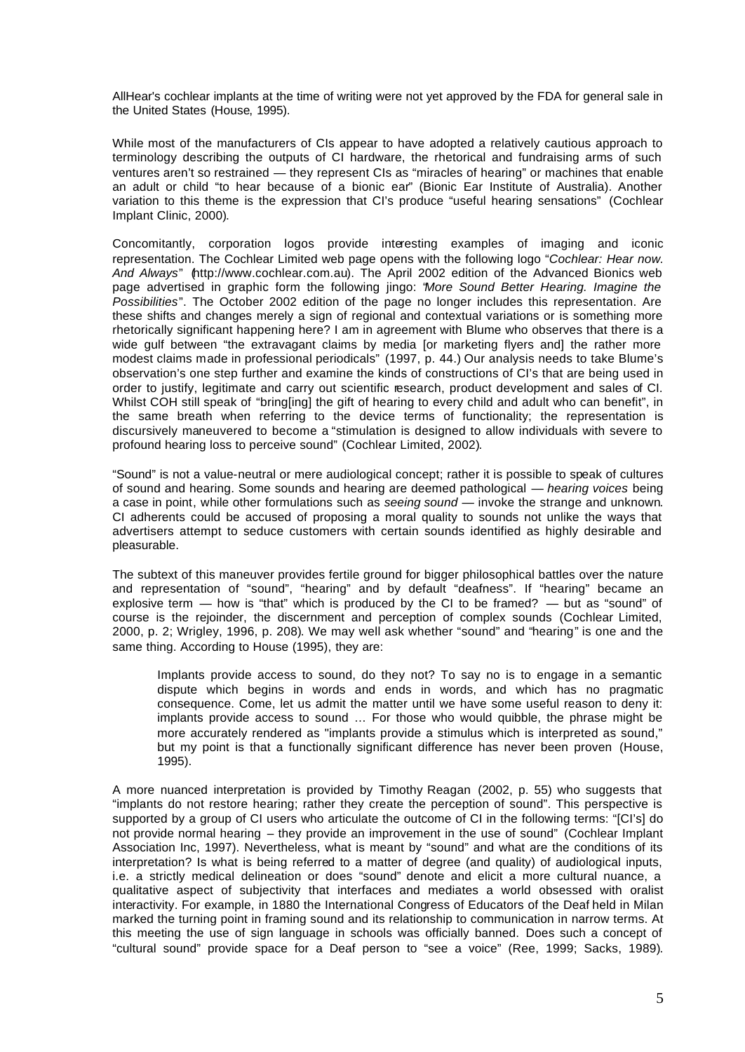AllHear's cochlear implants at the time of writing were not yet approved by the FDA for general sale in the United States (House, 1995).

While most of the manufacturers of CIs appear to have adopted a relatively cautious approach to terminology describing the outputs of CI hardware, the rhetorical and fundraising arms of such ventures aren't so restrained — they represent CIs as "miracles of hearing" or machines that enable an adult or child "to hear because of a bionic ear" (Bionic Ear Institute of Australia). Another variation to this theme is the expression that CI's produce "useful hearing sensations" (Cochlear Implant Clinic, 2000).

Concomitantly, corporation logos provide interesting examples of imaging and iconic representation. The Cochlear Limited web page opens with the following logo "*Cochlear: Hear now. And Always*" (http://www.cochlear.com.au). The April 2002 edition of the Advanced Bionics web page advertised in graphic form the following jingo: "*More Sound Better Hearing. Imagine the Possibilities*". The October 2002 edition of the page no longer includes this representation. Are these shifts and changes merely a sign of regional and contextual variations or is something more rhetorically significant happening here? I am in agreement with Blume who observes that there is a wide gulf between "the extravagant claims by media [or marketing flyers and] the rather more modest claims made in professional periodicals" (1997, p. 44.) Our analysis needs to take Blume's observation's one step further and examine the kinds of constructions of CI's that are being used in order to justify, legitimate and carry out scientific research, product development and sales of CI. Whilst COH still speak of "bring[ing] the gift of hearing to every child and adult who can benefit", in the same breath when referring to the device terms of functionality; the representation is discursively maneuvered to become a "stimulation is designed to allow individuals with severe to profound hearing loss to perceive sound" (Cochlear Limited, 2002).

"Sound" is not a value-neutral or mere audiological concept; rather it is possible to speak of cultures of sound and hearing. Some sounds and hearing are deemed pathological — *hearing voices* being a case in point, while other formulations such as *seeing sound* — invoke the strange and unknown. CI adherents could be accused of proposing a moral quality to sounds not unlike the ways that advertisers attempt to seduce customers with certain sounds identified as highly desirable and pleasurable.

The subtext of this maneuver provides fertile ground for bigger philosophical battles over the nature and representation of "sound", "hearing" and by default "deafness". If "hearing" became an explosive term - how is "that" which is produced by the CI to be framed? - but as "sound" of course is the rejoinder, the discernment and perception of complex sounds (Cochlear Limited, 2000, p. 2; Wrigley, 1996, p. 208). We may well ask whether "sound" and "hearing" is one and the same thing. According to House (1995), they are:

Implants provide access to sound, do they not? To say no is to engage in a semantic dispute which begins in words and ends in words, and which has no pragmatic consequence. Come, let us admit the matter until we have some useful reason to deny it: implants provide access to sound … For those who would quibble, the phrase might be more accurately rendered as "implants provide a stimulus which is interpreted as sound," but my point is that a functionally significant difference has never been proven (House, 1995).

A more nuanced interpretation is provided by Timothy Reagan (2002, p. 55) who suggests that "implants do not restore hearing; rather they create the perception of sound". This perspective is supported by a group of CI users who articulate the outcome of CI in the following terms: "[CI's] do not provide normal hearing – they provide an improvement in the use of sound" (Cochlear Implant Association Inc, 1997). Nevertheless, what is meant by "sound" and what are the conditions of its interpretation? Is what is being referred to a matter of degree (and quality) of audiological inputs, i.e. a strictly medical delineation or does "sound" denote and elicit a more cultural nuance, a qualitative aspect of subjectivity that interfaces and mediates a world obsessed with oralist interactivity. For example, in 1880 the International Congress of Educators of the Deaf held in Milan marked the turning point in framing sound and its relationship to communication in narrow terms. At this meeting the use of sign language in schools was officially banned. Does such a concept of "cultural sound" provide space for a Deaf person to "see a voice" (Ree, 1999; Sacks, 1989).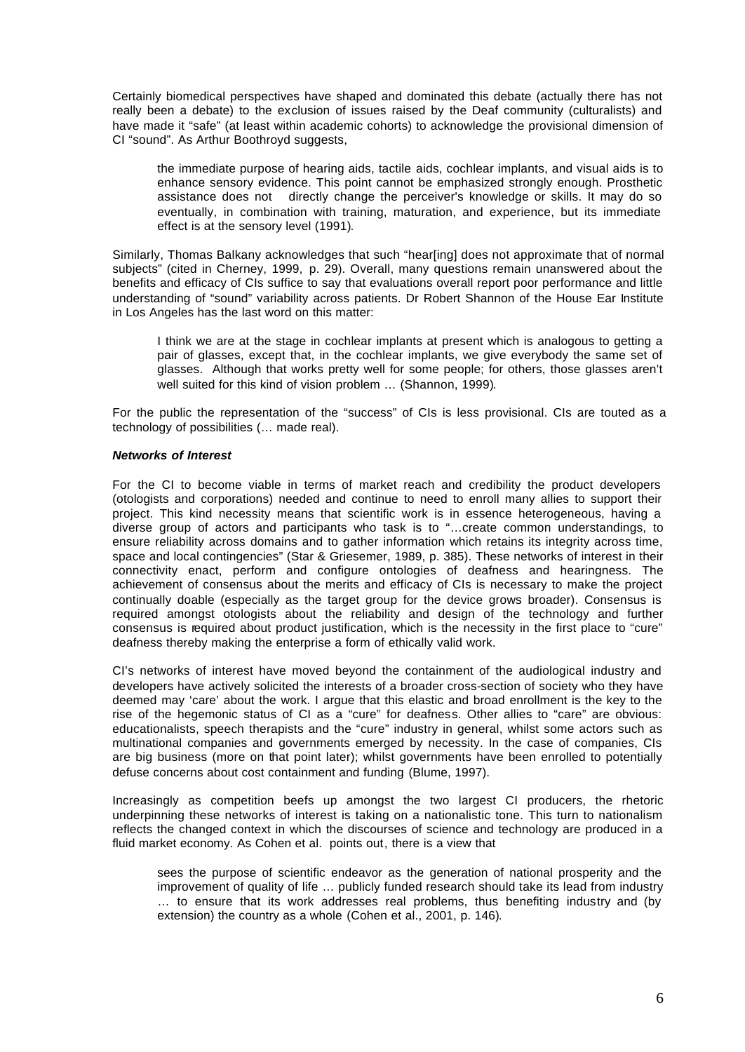Certainly biomedical perspectives have shaped and dominated this debate (actually there has not really been a debate) to the exclusion of issues raised by the Deaf community (culturalists) and have made it "safe" (at least within academic cohorts) to acknowledge the provisional dimension of CI "sound". As Arthur Boothroyd suggests,

the immediate purpose of hearing aids, tactile aids, cochlear implants, and visual aids is to enhance sensory evidence. This point cannot be emphasized strongly enough. Prosthetic assistance does not directly change the perceiver's knowledge or skills. It may do so eventually, in combination with training, maturation, and experience, but its immediate effect is at the sensory level (1991).

Similarly, Thomas Balkany acknowledges that such "hear[ing] does not approximate that of normal subjects" (cited in Cherney, 1999, p. 29). Overall, many questions remain unanswered about the benefits and efficacy of CIs suffice to say that evaluations overall report poor performance and little understanding of "sound" variability across patients. Dr Robert Shannon of the House Ear Institute in Los Angeles has the last word on this matter:

I think we are at the stage in cochlear implants at present which is analogous to getting a pair of glasses, except that, in the cochlear implants, we give everybody the same set of glasses. Although that works pretty well for some people; for others, those glasses aren't well suited for this kind of vision problem … (Shannon, 1999).

For the public the representation of the "success" of CIs is less provisional. CIs are touted as a technology of possibilities (… made real).

## *Networks of Interest*

For the CI to become viable in terms of market reach and credibility the product developers (otologists and corporations) needed and continue to need to enroll many allies to support their project. This kind necessity means that scientific work is in essence heterogeneous, having a diverse group of actors and participants who task is to "…create common understandings, to ensure reliability across domains and to gather information which retains its integrity across time, space and local contingencies" (Star & Griesemer, 1989, p. 385). These networks of interest in their connectivity enact, perform and configure ontologies of deafness and hearingness. The achievement of consensus about the merits and efficacy of CIs is necessary to make the project continually doable (especially as the target group for the device grows broader). Consensus is required amongst otologists about the reliability and design of the technology and further consensus is required about product justification, which is the necessity in the first place to "cure" deafness thereby making the enterprise a form of ethically valid work.

CI's networks of interest have moved beyond the containment of the audiological industry and developers have actively solicited the interests of a broader cross-section of society who they have deemed may 'care' about the work. I argue that this elastic and broad enrollment is the key to the rise of the hegemonic status of CI as a "cure" for deafness. Other allies to "care" are obvious: educationalists, speech therapists and the "cure" industry in general, whilst some actors such as multinational companies and governments emerged by necessity. In the case of companies, CIs are big business (more on that point later); whilst governments have been enrolled to potentially defuse concerns about cost containment and funding (Blume, 1997).

Increasingly as competition beefs up amongst the two largest CI producers, the rhetoric underpinning these networks of interest is taking on a nationalistic tone. This turn to nationalism reflects the changed context in which the discourses of science and technology are produced in a fluid market economy. As Cohen et al. points out, there is a view that

sees the purpose of scientific endeavor as the generation of national prosperity and the improvement of quality of life … publicly funded research should take its lead from industry … to ensure that its work addresses real problems, thus benefiting industry and (by extension) the country as a whole (Cohen et al., 2001, p. 146).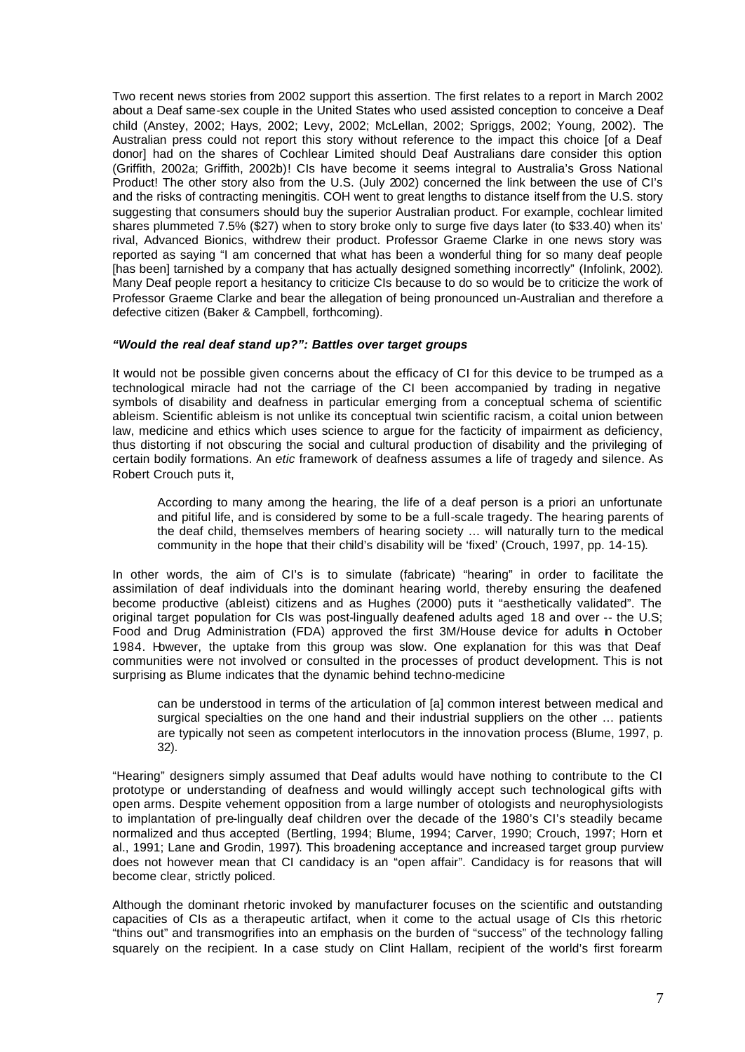Two recent news stories from 2002 support this assertion. The first relates to a report in March 2002 about a Deaf same-sex couple in the United States who used assisted conception to conceive a Deaf child (Anstey, 2002; Hays, 2002; Levy, 2002; McLellan, 2002; Spriggs, 2002; Young, 2002). The Australian press could not report this story without reference to the impact this choice [of a Deaf donor] had on the shares of Cochlear Limited should Deaf Australians dare consider this option (Griffith, 2002a; Griffith, 2002b)! CIs have become it seems integral to Australia's Gross National Product! The other story also from the U.S. (July 2002) concerned the link between the use of CI's and the risks of contracting meningitis. COH went to great lengths to distance itself from the U.S. story suggesting that consumers should buy the superior Australian product. For example, cochlear limited shares plummeted 7.5% (\$27) when to story broke only to surge five days later (to \$33.40) when its' rival, Advanced Bionics, withdrew their product. Professor Graeme Clarke in one news story was reported as saying "I am concerned that what has been a wonderful thing for so many deaf people [has been] tarnished by a company that has actually designed something incorrectly" (Infolink, 2002). Many Deaf people report a hesitancy to criticize CIs because to do so would be to criticize the work of Professor Graeme Clarke and bear the allegation of being pronounced un-Australian and therefore a defective citizen (Baker & Campbell, forthcoming).

## *"Would the real deaf stand up?": Battles over target groups*

It would not be possible given concerns about the efficacy of CI for this device to be trumped as a technological miracle had not the carriage of the CI been accompanied by trading in negative symbols of disability and deafness in particular emerging from a conceptual schema of scientific ableism. Scientific ableism is not unlike its conceptual twin scientific racism, a coital union between law, medicine and ethics which uses science to argue for the facticity of impairment as deficiency, thus distorting if not obscuring the social and cultural production of disability and the privileging of certain bodily formations. An *etic* framework of deafness assumes a life of tragedy and silence. As Robert Crouch puts it,

According to many among the hearing, the life of a deaf person is a priori an unfortunate and pitiful life, and is considered by some to be a full-scale tragedy. The hearing parents of the deaf child, themselves members of hearing society … will naturally turn to the medical community in the hope that their child's disability will be 'fixed' (Crouch, 1997, pp. 14-15).

In other words, the aim of CI's is to simulate (fabricate) "hearing" in order to facilitate the assimilation of deaf individuals into the dominant hearing world, thereby ensuring the deafened become productive (ableist) citizens and as Hughes (2000) puts it "aesthetically validated". The original target population for CIs was post-lingually deafened adults aged 18 and over -- the U.S; Food and Drug Administration (FDA) approved the first 3M/House device for adults in October 1984. However, the uptake from this group was slow. One explanation for this was that Deaf communities were not involved or consulted in the processes of product development. This is not surprising as Blume indicates that the dynamic behind techno-medicine

can be understood in terms of the articulation of [a] common interest between medical and surgical specialties on the one hand and their industrial suppliers on the other … patients are typically not seen as competent interlocutors in the innovation process (Blume, 1997, p. 32).

"Hearing" designers simply assumed that Deaf adults would have nothing to contribute to the CI prototype or understanding of deafness and would willingly accept such technological gifts with open arms. Despite vehement opposition from a large number of otologists and neurophysiologists to implantation of pre-lingually deaf children over the decade of the 1980's CI's steadily became normalized and thus accepted (Bertling, 1994; Blume, 1994; Carver, 1990; Crouch, 1997; Horn et al., 1991; Lane and Grodin, 1997). This broadening acceptance and increased target group purview does not however mean that CI candidacy is an "open affair". Candidacy is for reasons that will become clear, strictly policed.

Although the dominant rhetoric invoked by manufacturer focuses on the scientific and outstanding capacities of CIs as a therapeutic artifact, when it come to the actual usage of CIs this rhetoric "thins out" and transmogrifies into an emphasis on the burden of "success" of the technology falling squarely on the recipient. In a case study on Clint Hallam, recipient of the world's first forearm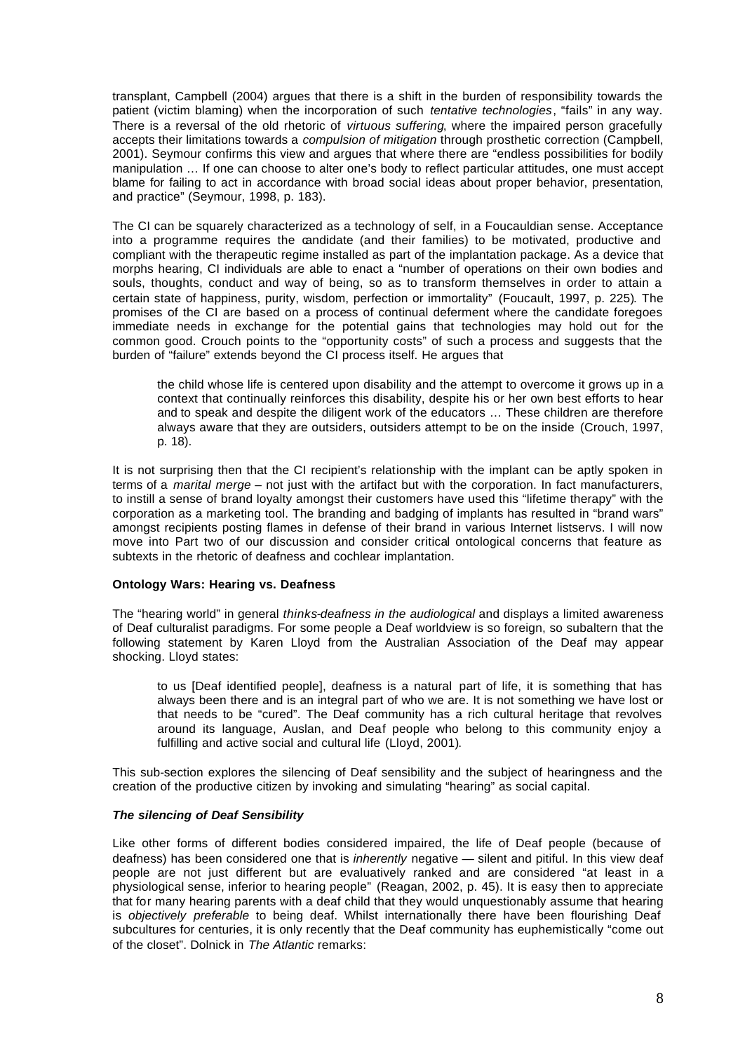transplant, Campbell (2004) argues that there is a shift in the burden of responsibility towards the patient (victim blaming) when the incorporation of such *tentative technologies*, "fails" in any way. There is a reversal of the old rhetoric of *virtuous suffering*, where the impaired person gracefully accepts their limitations towards a *compulsion of mitigation* through prosthetic correction (Campbell, 2001). Seymour confirms this view and argues that where there are "endless possibilities for bodily manipulation … If one can choose to alter one's body to reflect particular attitudes, one must accept blame for failing to act in accordance with broad social ideas about proper behavior, presentation, and practice" (Seymour, 1998, p. 183).

The CI can be squarely characterized as a technology of self, in a Foucauldian sense. Acceptance into a programme requires the candidate (and their families) to be motivated, productive and compliant with the therapeutic regime installed as part of the implantation package. As a device that morphs hearing, CI individuals are able to enact a "number of operations on their own bodies and souls, thoughts, conduct and way of being, so as to transform themselves in order to attain a certain state of happiness, purity, wisdom, perfection or immortality" (Foucault, 1997, p. 225). The promises of the CI are based on a process of continual deferment where the candidate foregoes immediate needs in exchange for the potential gains that technologies may hold out for the common good. Crouch points to the "opportunity costs" of such a process and suggests that the burden of "failure" extends beyond the CI process itself. He argues that

the child whose life is centered upon disability and the attempt to overcome it grows up in a context that continually reinforces this disability, despite his or her own best efforts to hear and to speak and despite the diligent work of the educators … These children are therefore always aware that they are outsiders, outsiders attempt to be on the inside (Crouch, 1997, p. 18).

It is not surprising then that the CI recipient's relationship with the implant can be aptly spoken in terms of a *marital merge* – not just with the artifact but with the corporation. In fact manufacturers, to instill a sense of brand loyalty amongst their customers have used this "lifetime therapy" with the corporation as a marketing tool. The branding and badging of implants has resulted in "brand wars" amongst recipients posting flames in defense of their brand in various Internet listservs. I will now move into Part two of our discussion and consider critical ontological concerns that feature as subtexts in the rhetoric of deafness and cochlear implantation.

## **Ontology Wars: Hearing vs. Deafness**

The "hearing world" in general *thinks-deafness in the audiological* and displays a limited awareness of Deaf culturalist paradigms. For some people a Deaf worldview is so foreign, so subaltern that the following statement by Karen Lloyd from the Australian Association of the Deaf may appear shocking. Lloyd states:

to us [Deaf identified people], deafness is a natural part of life, it is something that has always been there and is an integral part of who we are. It is not something we have lost or that needs to be "cured". The Deaf community has a rich cultural heritage that revolves around its language, Auslan, and Deaf people who belong to this community enjoy a fulfilling and active social and cultural life (Lloyd, 2001).

This sub-section explores the silencing of Deaf sensibility and the subject of hearingness and the creation of the productive citizen by invoking and simulating "hearing" as social capital.

#### *The silencing of Deaf Sensibility*

Like other forms of different bodies considered impaired, the life of Deaf people (because of deafness) has been considered one that is *inherently* negative — silent and pitiful. In this view deaf people are not just different but are evaluatively ranked and are considered "at least in a physiological sense, inferior to hearing people" (Reagan, 2002, p. 45). It is easy then to appreciate that for many hearing parents with a deaf child that they would unquestionably assume that hearing is *objectively preferable* to being deaf. Whilst internationally there have been flourishing Deaf subcultures for centuries, it is only recently that the Deaf community has euphemistically "come out of the closet". Dolnick in *The Atlantic* remarks: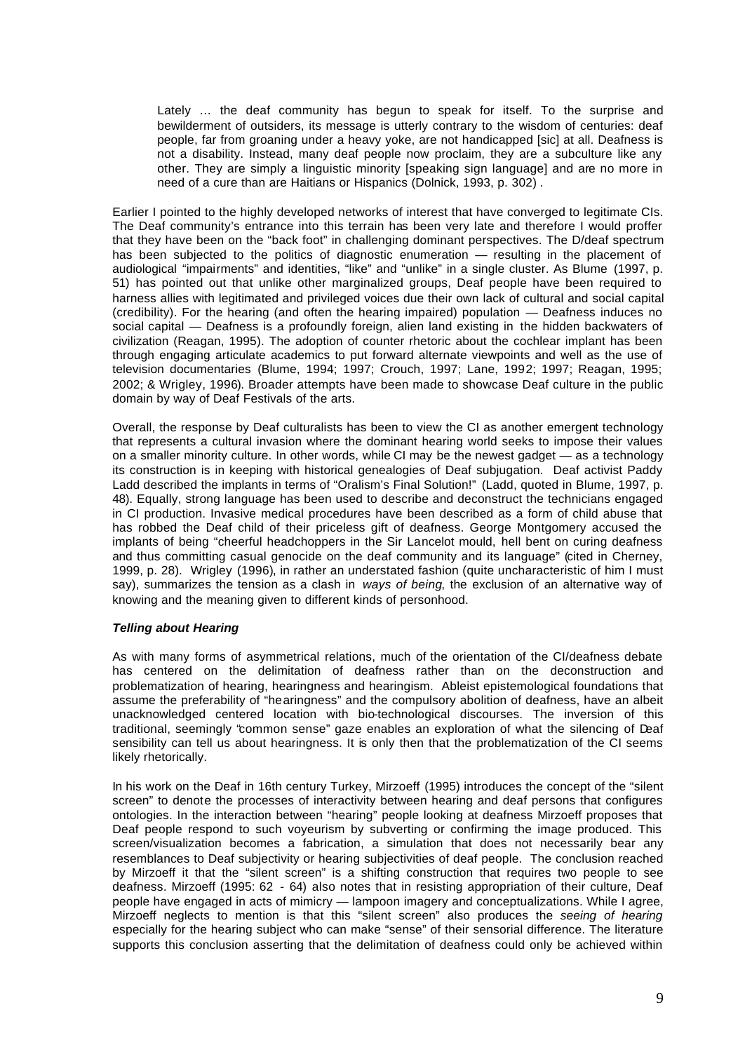Lately … the deaf community has begun to speak for itself. To the surprise and bewilderment of outsiders, its message is utterly contrary to the wisdom of centuries: deaf people, far from groaning under a heavy yoke, are not handicapped [sic] at all. Deafness is not a disability. Instead, many deaf people now proclaim, they are a subculture like any other. They are simply a linguistic minority [speaking sign language] and are no more in need of a cure than are Haitians or Hispanics (Dolnick, 1993, p. 302) .

Earlier I pointed to the highly developed networks of interest that have converged to legitimate CIs. The Deaf community's entrance into this terrain has been very late and therefore I would proffer that they have been on the "back foot" in challenging dominant perspectives. The D/deaf spectrum has been subjected to the politics of diagnostic enumeration — resulting in the placement of audiological "impairments" and identities, "like" and "unlike" in a single cluster. As Blume (1997, p. 51) has pointed out that unlike other marginalized groups, Deaf people have been required to harness allies with legitimated and privileged voices due their own lack of cultural and social capital (credibility). For the hearing (and often the hearing impaired) population — Deafness induces no social capital — Deafness is a profoundly foreign, alien land existing in the hidden backwaters of civilization (Reagan, 1995). The adoption of counter rhetoric about the cochlear implant has been through engaging articulate academics to put forward alternate viewpoints and well as the use of television documentaries (Blume, 1994; 1997; Crouch, 1997; Lane, 1992; 1997; Reagan, 1995; 2002; & Wrigley, 1996). Broader attempts have been made to showcase Deaf culture in the public domain by way of Deaf Festivals of the arts.

Overall, the response by Deaf culturalists has been to view the CI as another emergent technology that represents a cultural invasion where the dominant hearing world seeks to impose their values on a smaller minority culture. In other words, while CI may be the newest gadget — as a technology its construction is in keeping with historical genealogies of Deaf subjugation. Deaf activist Paddy Ladd described the implants in terms of "Oralism's Final Solution!" (Ladd, quoted in Blume, 1997, p. 48). Equally, strong language has been used to describe and deconstruct the technicians engaged in CI production. Invasive medical procedures have been described as a form of child abuse that has robbed the Deaf child of their priceless gift of deafness. George Montgomery accused the implants of being "cheerful headchoppers in the Sir Lancelot mould, hell bent on curing deafness and thus committing casual genocide on the deaf community and its language" (cited in Cherney, 1999, p. 28). Wrigley (1996), in rather an understated fashion (quite uncharacteristic of him I must say), summarizes the tension as a clash in *ways of being*, the exclusion of an alternative way of knowing and the meaning given to different kinds of personhood.

## *Telling about Hearing*

As with many forms of asymmetrical relations, much of the orientation of the CI/deafness debate has centered on the delimitation of deafness rather than on the deconstruction and problematization of hearing, hearingness and hearingism. Ableist epistemological foundations that assume the preferability of "hearingness" and the compulsory abolition of deafness, have an albeit unacknowledged centered location with bio-technological discourses. The inversion of this traditional, seemingly "common sense" gaze enables an exploration of what the silencing of Deaf sensibility can tell us about hearingness. It is only then that the problematization of the CI seems likely rhetorically.

In his work on the Deaf in 16th century Turkey, Mirzoeff (1995) introduces the concept of the "silent screen" to denote the processes of interactivity between hearing and deaf persons that configures ontologies. In the interaction between "hearing" people looking at deafness Mirzoeff proposes that Deaf people respond to such voyeurism by subverting or confirming the image produced. This screen/visualization becomes a fabrication, a simulation that does not necessarily bear any resemblances to Deaf subjectivity or hearing subjectivities of deaf people. The conclusion reached by Mirzoeff it that the "silent screen" is a shifting construction that requires two people to see deafness. Mirzoeff (1995: 62 - 64) also notes that in resisting appropriation of their culture, Deaf people have engaged in acts of mimicry — lampoon imagery and conceptualizations. While I agree, Mirzoeff neglects to mention is that this "silent screen" also produces the *seeing of hearing* especially for the hearing subject who can make "sense" of their sensorial difference. The literature supports this conclusion asserting that the delimitation of deafness could only be achieved within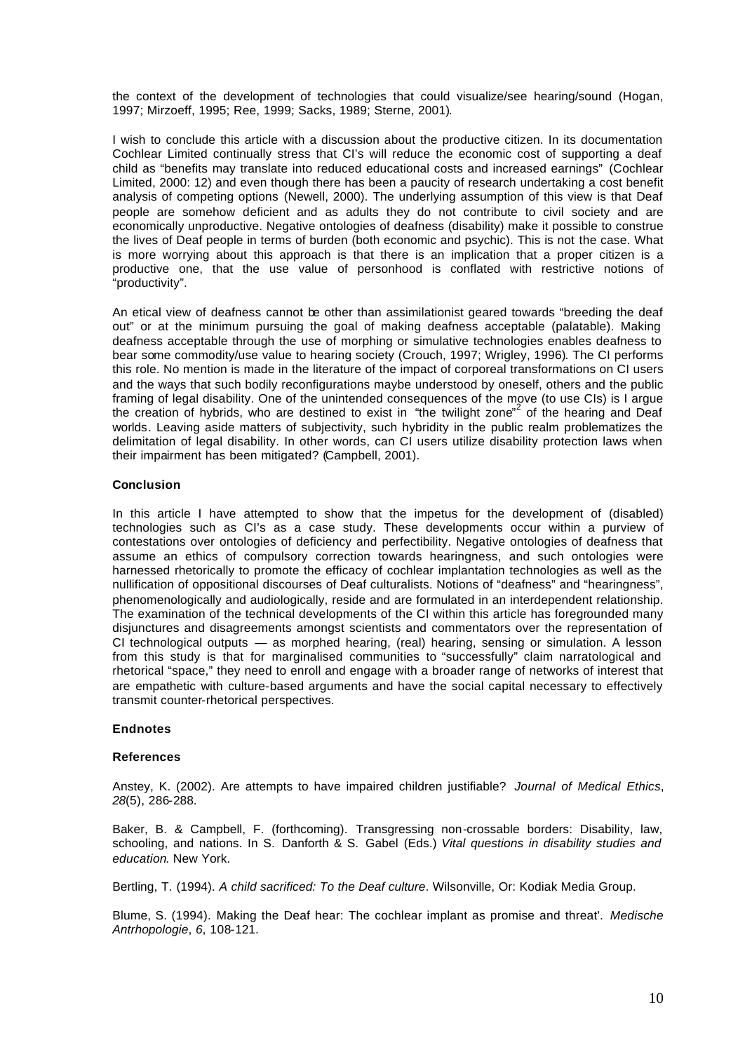the context of the development of technologies that could visualize/see hearing/sound (Hogan, 1997; Mirzoeff, 1995; Ree, 1999; Sacks, 1989; Sterne, 2001).

I wish to conclude this article with a discussion about the productive citizen. In its documentation Cochlear Limited continually stress that CI's will reduce the economic cost of supporting a deaf child as "benefits may translate into reduced educational costs and increased earnings" (Cochlear Limited, 2000: 12) and even though there has been a paucity of research undertaking a cost benefit analysis of competing options (Newell, 2000). The underlying assumption of this view is that Deaf people are somehow deficient and as adults they do not contribute to civil society and are economically unproductive. Negative ontologies of deafness (disability) make it possible to construe the lives of Deaf people in terms of burden (both economic and psychic). This is not the case. What is more worrying about this approach is that there is an implication that a proper citizen is a productive one, that the use value of personhood is conflated with restrictive notions of "productivity".

An etical view of deafness cannot be other than assimilationist geared towards "breeding the deaf out" or at the minimum pursuing the goal of making deafness acceptable (palatable). Making deafness acceptable through the use of morphing or simulative technologies enables deafness to bear some commodity/use value to hearing society (Crouch, 1997; Wrigley, 1996). The CI performs this role. No mention is made in the literature of the impact of corporeal transformations on CI users and the ways that such bodily reconfigurations maybe understood by oneself, others and the public framing of legal disability. One of the unintended consequences of the move (to use CIs) is I argue the creation of hybrids, who are destined to exist in "the twilight zone"<sup>2</sup> of the hearing and Deaf worlds. Leaving aside matters of subjectivity, such hybridity in the public realm problematizes the delimitation of legal disability. In other words, can CI users utilize disability protection laws when their impairment has been mitigated? (Campbell, 2001).

# **Conclusion**

In this article I have attempted to show that the impetus for the development of (disabled) technologies such as CI's as a case study. These developments occur within a purview of contestations over ontologies of deficiency and perfectibility. Negative ontologies of deafness that assume an ethics of compulsory correction towards hearingness, and such ontologies were harnessed rhetorically to promote the efficacy of cochlear implantation technologies as well as the nullification of oppositional discourses of Deaf culturalists. Notions of "deafness" and "hearingness", phenomenologically and audiologically, reside and are formulated in an interdependent relationship. The examination of the technical developments of the CI within this article has foregrounded many disjunctures and disagreements amongst scientists and commentators over the representation of CI technological outputs — as morphed hearing, (real) hearing, sensing or simulation. A lesson from this study is that for marginalised communities to "successfully" claim narratological and rhetorical "space," they need to enroll and engage with a broader range of networks of interest that are empathetic with culture-based arguments and have the social capital necessary to effectively transmit counter-rhetorical perspectives.

## **Endnotes**

#### **References**

Anstey, K. (2002). Are attempts to have impaired children justifiable? *Journal of Medical Ethics*, *28*(5), 286-288.

Baker, B. & Campbell, F. (forthcoming). Transgressing non-crossable borders: Disability, law, schooling, and nations. In S. Danforth & S. Gabel (Eds.) *Vital questions in disability studies and education*. New York.

Bertling, T. (1994). *A child sacrificed: To the Deaf culture*. Wilsonville, Or: Kodiak Media Group.

Blume, S. (1994). Making the Deaf hear: The cochlear implant as promise and threat'. *Medische Antrhopologie*, *6*, 108-121.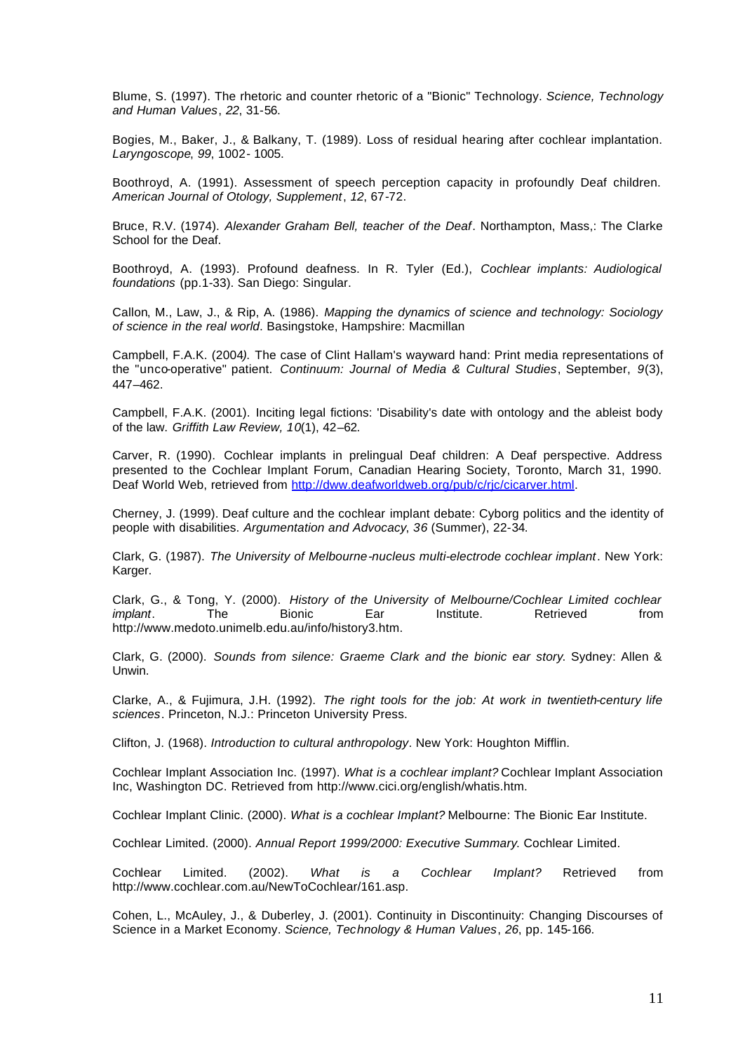Blume, S. (1997). The rhetoric and counter rhetoric of a "Bionic" Technology. *Science, Technology and Human Values*, *22*, 31-56.

Bogies, M., Baker, J., & Balkany, T. (1989). Loss of residual hearing after cochlear implantation. *Laryngoscope*, *99*, 1002- 1005.

Boothroyd, A. (1991). Assessment of speech perception capacity in profoundly Deaf children. *American Journal of Otology, Supplement*, *12*, 67-72.

Bruce, R.V. (1974). *Alexander Graham Bell, teacher of the Deaf*. Northampton, Mass,: The Clarke School for the Deaf.

Boothroyd, A. (1993). Profound deafness. In R. Tyler (Ed.), *Cochlear implants: Audiological foundations* (pp.1-33). San Diego: Singular.

Callon, M., Law, J., & Rip, A. (1986). *Mapping the dynamics of science and technology: Sociology of science in the real world*. Basingstoke, Hampshire: Macmillan

Campbell, F.A.K. (2004*)*. The case of Clint Hallam's wayward hand: Print media representations of the "unco-operative" patient. *Continuum: Journal of Media & Cultural Studies*, September, *9*(3), 447–462.

Campbell, F.A.K. (2001). Inciting legal fictions: 'Disability's date with ontology and the ableist body of the law. *Griffith Law Review, 10*(1), 42–62.

Carver, R. (1990). Cochlear implants in prelingual Deaf children: A Deaf perspective. Address presented to the Cochlear Implant Forum, Canadian Hearing Society, Toronto, March 31, 1990. Deaf World Web, retrieved from http://dww.deafworldweb.org/pub/c/rjc/cicarver.html.

Cherney, J. (1999). Deaf culture and the cochlear implant debate: Cyborg politics and the identity of people with disabilities. *Argumentation and Advocacy*, *36* (Summer), 22-34.

Clark, G. (1987). *The University of Melbourne-nucleus multi-electrode cochlear implant*. New York: Karger.

Clark, G., & Tong, Y. (2000). *History of the University of Melbourne/Cochlear Limited cochlear implant*. The Bionic Ear Institute. Retrieved from http://www.medoto.unimelb.edu.au/info/history3.htm.

Clark, G. (2000). *Sounds from silence: Graeme Clark and the bionic ear story*. Sydney: Allen & Unwin.

Clarke, A., & Fujimura, J.H. (1992). *The right tools for the job: At work in twentieth-century life sciences*. Princeton, N.J.: Princeton University Press.

Clifton, J. (1968). *Introduction to cultural anthropology*. New York: Houghton Mifflin.

Cochlear Implant Association Inc. (1997). *What is a cochlear implant?* Cochlear Implant Association Inc, Washington DC. Retrieved from http://www.cici.org/english/whatis.htm.

Cochlear Implant Clinic. (2000). *What is a cochlear Implant?* Melbourne: The Bionic Ear Institute.

Cochlear Limited. (2000). *Annual Report 1999/2000: Executive Summary*. Cochlear Limited.

Cochlear Limited. (2002). *What is a Cochlear Implant?* Retrieved from http://www.cochlear.com.au/NewToCochlear/161.asp.

Cohen, L., McAuley, J., & Duberley, J. (2001). Continuity in Discontinuity: Changing Discourses of Science in a Market Economy. *Science, Technology & Human Values*, *26*, pp. 145-166.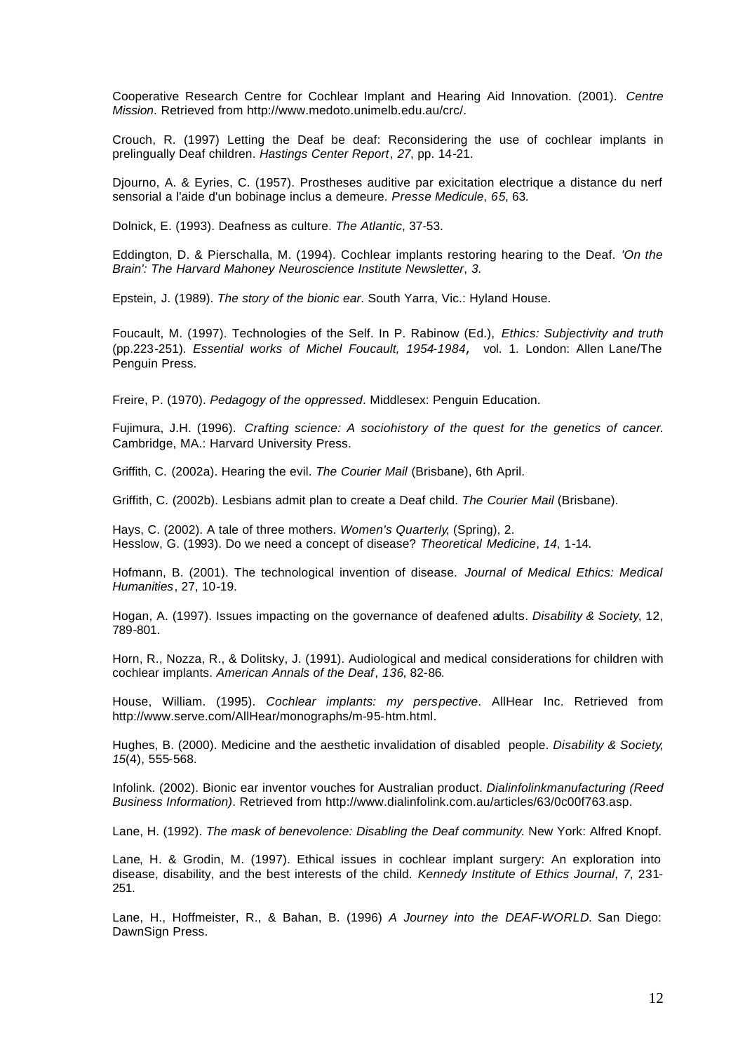Cooperative Research Centre for Cochlear Implant and Hearing Aid Innovation. (2001). *Centre Mission*. Retrieved from http://www.medoto.unimelb.edu.au/crc/.

Crouch, R. (1997) Letting the Deaf be deaf: Reconsidering the use of cochlear implants in prelingually Deaf children. *Hastings Center Report*, *27*, pp. 14-21.

Djourno, A. & Eyries, C. (1957). Prostheses auditive par exicitation electrique a distance du nerf sensorial a l'aide d'un bobinage inclus a demeure. *Presse Medicule*, *65*, 63.

Dolnick, E. (1993). Deafness as culture. *The Atlantic*, 37-53.

Eddington, D. & Pierschalla, M. (1994). Cochlear implants restoring hearing to the Deaf. *'On the Brain': The Harvard Mahoney Neuroscience Institute Newsletter*, *3*.

Epstein, J. (1989). *The story of the bionic ear*. South Yarra, Vic.: Hyland House.

Foucault, M. (1997). Technologies of the Self. In P. Rabinow (Ed.), *Ethics: Subjectivity and truth* (pp.223-251). *Essential works of Michel Foucault, 1954-1984*, vol. 1. London: Allen Lane/The Penguin Press.

Freire, P. (1970). *Pedagogy of the oppressed*. Middlesex: Penguin Education.

Fujimura, J.H. (1996). *Crafting science: A sociohistory of the quest for the genetics of cancer*. Cambridge, MA.: Harvard University Press.

Griffith, C. (2002a). Hearing the evil. *The Courier Mail* (Brisbane), 6th April.

Griffith, C. (2002b). Lesbians admit plan to create a Deaf child. *The Courier Mail* (Brisbane).

Hays, C. (2002). A tale of three mothers. *Women's Quarterly*, (Spring), 2. Hesslow, G. (1993). Do we need a concept of disease? *Theoretical Medicine*, *14*, 1-14.

Hofmann, B. (2001). The technological invention of disease. *Journal of Medical Ethics: Medical Humanities*, 27, 10-19.

Hogan, A. (1997). Issues impacting on the governance of deafened adults. *Disability & Society*, 12, 789-801.

Horn, R., Nozza, R., & Dolitsky, J. (1991). Audiological and medical considerations for children with cochlear implants. *American Annals of the Deaf*, *136*, 82-86.

House, William. (1995). *Cochlear implants: my perspective*. AllHear Inc. Retrieved from http://www.serve.com/AllHear/monographs/m-95-htm.html.

Hughes, B. (2000). Medicine and the aesthetic invalidation of disabled people. *Disability & Society*, *15*(4), 555-568.

Infolink. (2002). Bionic ear inventor vouches for Australian product. *Dialinfolinkmanufacturing (Reed Business Information)*. Retrieved from http://www.dialinfolink.com.au/articles/63/0c00f763.asp.

Lane, H. (1992). *The mask of benevolence: Disabling the Deaf community*. New York: Alfred Knopf.

Lane, H. & Grodin, M. (1997). Ethical issues in cochlear implant surgery: An exploration into disease, disability, and the best interests of the child. *Kennedy Institute of Ethics Journal*, *7*, 231- 251.

Lane, H., Hoffmeister, R., & Bahan, B. (1996) *A Journey into the DEAF-WORLD*. San Diego: DawnSign Press.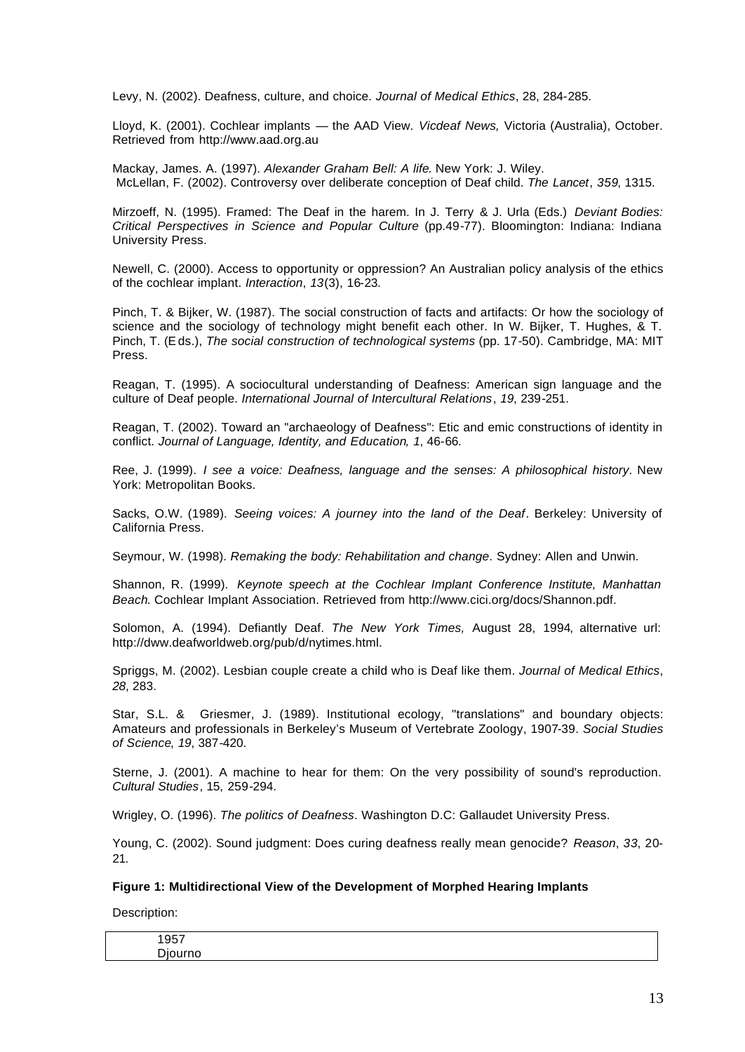Levy, N. (2002). Deafness, culture, and choice. *Journal of Medical Ethics*, 28, 284-285.

Lloyd, K. (2001). Cochlear implants — the AAD View. *Vicdeaf News,* Victoria (Australia), October. Retrieved from http://www.aad.org.au

Mackay, James. A. (1997). *Alexander Graham Bell: A life*. New York: J. Wiley. McLellan, F. (2002). Controversy over deliberate conception of Deaf child. *The Lancet*, *359*, 1315.

Mirzoeff, N. (1995). Framed: The Deaf in the harem. In J. Terry & J. Urla (Eds.) *Deviant Bodies: Critical Perspectives in Science and Popular Culture* (pp.49-77). Bloomington: Indiana: Indiana University Press.

Newell, C. (2000). Access to opportunity or oppression? An Australian policy analysis of the ethics of the cochlear implant. *Interaction*, *13*(3), 16-23.

Pinch, T. & Bijker, W. (1987). The social construction of facts and artifacts: Or how the sociology of science and the sociology of technology might benefit each other. In W. Bijker, T. Hughes, & T. Pinch, T. (Eds.), *The social construction of technological systems* (pp. 17-50). Cambridge, MA: MIT Press.

Reagan, T. (1995). A sociocultural understanding of Deafness: American sign language and the culture of Deaf people. *International Journal of Intercultural Relations*, *19*, 239-251.

Reagan, T. (2002). Toward an "archaeology of Deafness": Etic and emic constructions of identity in conflict. *Journal of Language, Identity, and Education, 1*, 46-66.

Ree, J. (1999). *I see a voice: Deafness, language and the senses: A philosophical history*. New York: Metropolitan Books.

Sacks, O.W. (1989). *Seeing voices: A journey into the land of the Deaf*. Berkeley: University of California Press.

Seymour, W. (1998). *Remaking the body: Rehabilitation and change*. Sydney: Allen and Unwin.

Shannon, R. (1999). *Keynote speech at the Cochlear Implant Conference Institute, Manhattan Beach*. Cochlear Implant Association. Retrieved from http://www.cici.org/docs/Shannon.pdf.

Solomon, A. (1994). Defiantly Deaf. *The New York Times,* August 28, 1994, alternative url: http://dww.deafworldweb.org/pub/d/nytimes.html.

Spriggs, M. (2002). Lesbian couple create a child who is Deaf like them. *Journal of Medical Ethics*, *28*, 283.

Star, S.L. & Griesmer, J. (1989). Institutional ecology, "translations" and boundary objects: Amateurs and professionals in Berkeley's Museum of Vertebrate Zoology, 1907-39. *Social Studies of Science*, *19*, 387-420.

Sterne, J. (2001). A machine to hear for them: On the very possibility of sound's reproduction. *Cultural Studies*, 15, 259-294.

Wrigley, O. (1996). *The politics of Deafness*. Washington D.C: Gallaudet University Press.

Young, C. (2002). Sound judgment: Does curing deafness really mean genocide? *Reason*, *33*, 20- 21.

# **Figure 1: Multidirectional View of the Development of Morphed Hearing Implants**

Description:

| $\sim$ $-$<br>. .<br>◡<br>ັບບ |
|-------------------------------|
| --<br>-----<br>װ<br>าบเทค     |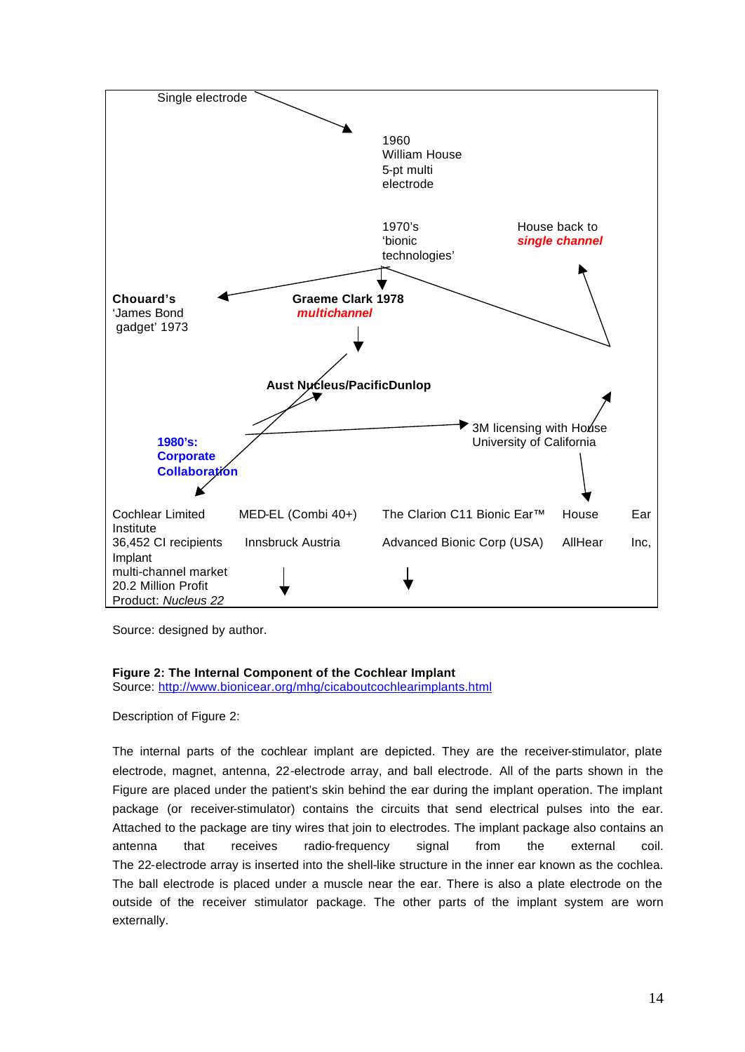

Source: designed by author.

# **Figure 2: The Internal Component of the Cochlear Implant**

Source: http://www.bionicear.org/mhg/cicaboutcochlearimplants.html

Description of Figure 2:

The internal parts of the cochlear implant are depicted. They are the receiver-stimulator, plate electrode, magnet, antenna, 22-electrode array, and ball electrode. All of the parts shown in the Figure are placed under the patient's skin behind the ear during the implant operation. The implant package (or receiver-stimulator) contains the circuits that send electrical pulses into the ear. Attached to the package are tiny wires that join to electrodes. The implant package also contains an antenna that receives radio-frequency signal from the external coil. The 22-electrode array is inserted into the shell-like structure in the inner ear known as the cochlea. The ball electrode is placed under a muscle near the ear. There is also a plate electrode on the outside of the receiver stimulator package. The other parts of the implant system are worn externally.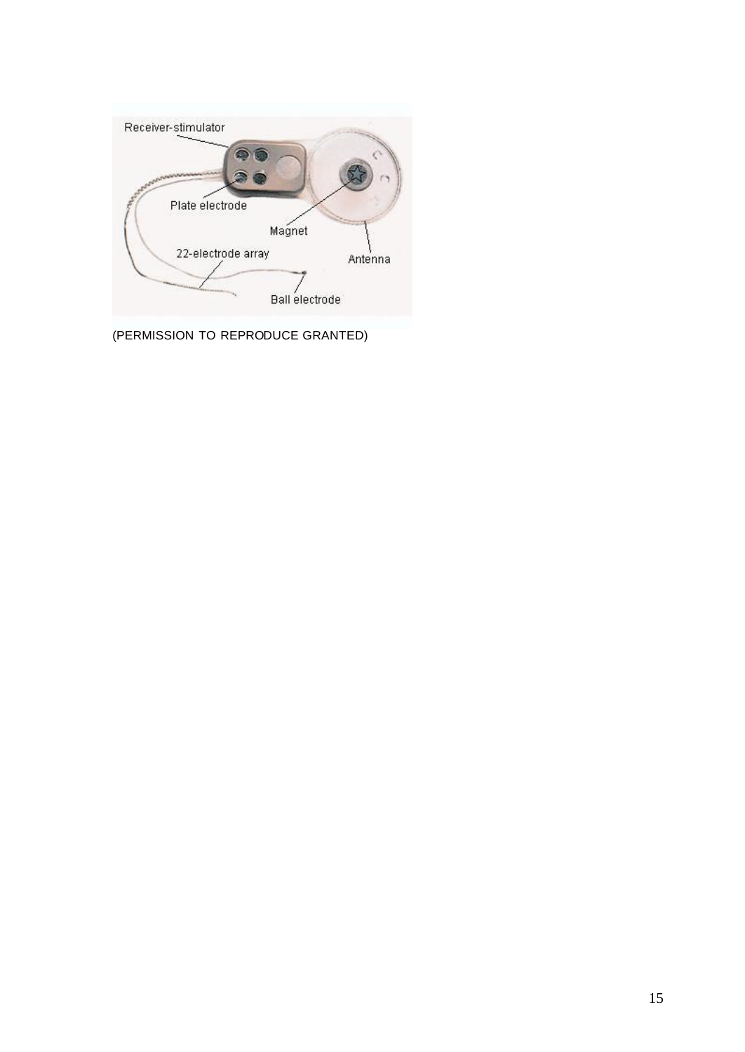

(PERMISSION TO REPRODUCE GRANTED)